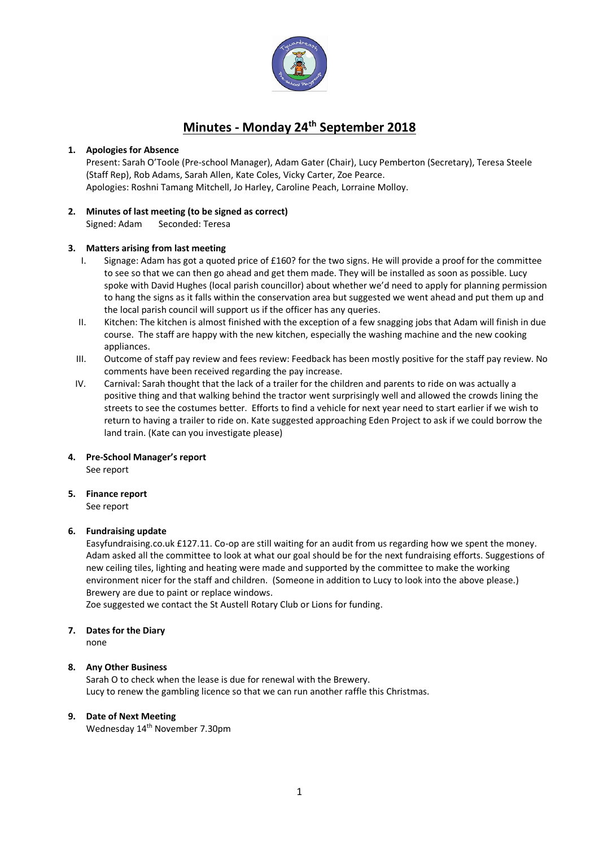

# **Minutes - Monday 24th September 2018**

#### **1. Apologies for Absence**

Present: Sarah O'Toole (Pre-school Manager), Adam Gater (Chair), Lucy Pemberton (Secretary), Teresa Steele (Staff Rep), Rob Adams, Sarah Allen, Kate Coles, Vicky Carter, Zoe Pearce. Apologies: Roshni Tamang Mitchell, Jo Harley, Caroline Peach, Lorraine Molloy.

### **2. Minutes of last meeting (to be signed as correct)**

Signed: Adam Seconded: Teresa

#### **3. Matters arising from last meeting**

- I. Signage: Adam has got a quoted price of £160? for the two signs. He will provide a proof for the committee to see so that we can then go ahead and get them made. They will be installed as soon as possible. Lucy spoke with David Hughes (local parish councillor) about whether we'd need to apply for planning permission to hang the signs as it falls within the conservation area but suggested we went ahead and put them up and the local parish council will support us if the officer has any queries.
- II. Kitchen: The kitchen is almost finished with the exception of a few snagging jobs that Adam will finish in due course. The staff are happy with the new kitchen, especially the washing machine and the new cooking appliances.
- III. Outcome of staff pay review and fees review: Feedback has been mostly positive for the staff pay review. No comments have been received regarding the pay increase.
- IV. Carnival: Sarah thought that the lack of a trailer for the children and parents to ride on was actually a positive thing and that walking behind the tractor went surprisingly well and allowed the crowds lining the streets to see the costumes better. Efforts to find a vehicle for next year need to start earlier if we wish to return to having a trailer to ride on. Kate suggested approaching Eden Project to ask if we could borrow the land train. (Kate can you investigate please)

# **4. Pre-School Manager's report**

See report

## **5. Finance report**

See report

#### **6. Fundraising update**

Easyfundraising.co.uk £127.11. Co-op are still waiting for an audit from us regarding how we spent the money. Adam asked all the committee to look at what our goal should be for the next fundraising efforts. Suggestions of new ceiling tiles, lighting and heating were made and supported by the committee to make the working environment nicer for the staff and children. (Someone in addition to Lucy to look into the above please.) Brewery are due to paint or replace windows.

Zoe suggested we contact the St Austell Rotary Club or Lions for funding.

#### **7. Dates for the Diary**

none

#### **8. Any Other Business**

Sarah O to check when the lease is due for renewal with the Brewery. Lucy to renew the gambling licence so that we can run another raffle this Christmas.

#### **9. Date of Next Meeting**

Wednesday 14<sup>th</sup> November 7.30pm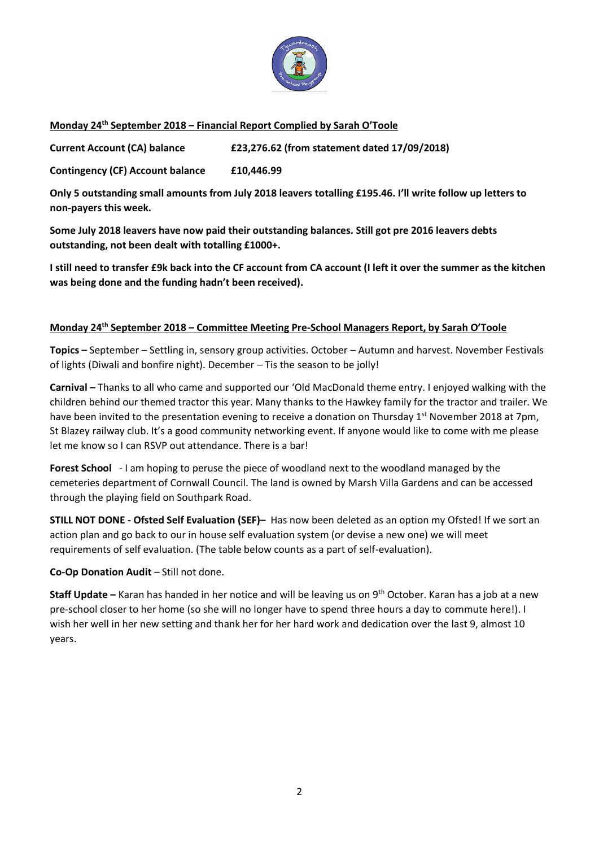

## **Monday 24th September 2018 – Financial Report Complied by Sarah O'Toole**

**Current Account (CA) balance £23,276.62 (from statement dated 17/09/2018)**

**Contingency (CF) Account balance £10,446.99**

**Only 5 outstanding small amounts from July 2018 leavers totalling £195.46. I'll write follow up letters to non-payers this week.**

**Some July 2018 leavers have now paid their outstanding balances. Still got pre 2016 leavers debts outstanding, not been dealt with totalling £1000+.**

**I still need to transfer £9k back into the CF account from CA account (I left it over the summer as the kitchen was being done and the funding hadn't been received).**

### **Monday 24th September 2018 – Committee Meeting Pre-School Managers Report, by Sarah O'Toole**

**Topics –** September – Settling in, sensory group activities. October – Autumn and harvest. November Festivals of lights (Diwali and bonfire night). December – Tis the season to be jolly!

**Carnival –** Thanks to all who came and supported our 'Old MacDonald theme entry. I enjoyed walking with the children behind our themed tractor this year. Many thanks to the Hawkey family for the tractor and trailer. We have been invited to the presentation evening to receive a donation on Thursday  $1^{st}$  November 2018 at 7pm, St Blazey railway club. It's a good community networking event. If anyone would like to come with me please let me know so I can RSVP out attendance. There is a bar!

**Forest School** - I am hoping to peruse the piece of woodland next to the woodland managed by the cemeteries department of Cornwall Council. The land is owned by Marsh Villa Gardens and can be accessed through the playing field on Southpark Road.

**STILL NOT DONE - Ofsted Self Evaluation (SEF)–** Has now been deleted as an option my Ofsted! If we sort an action plan and go back to our in house self evaluation system (or devise a new one) we will meet requirements of self evaluation. (The table below counts as a part of self-evaluation).

## **Co-Op Donation Audit** – Still not done.

**Staff Update –** Karan has handed in her notice and will be leaving us on 9<sup>th</sup> October. Karan has a job at a new pre-school closer to her home (so she will no longer have to spend three hours a day to commute here!). I wish her well in her new setting and thank her for her hard work and dedication over the last 9, almost 10 years.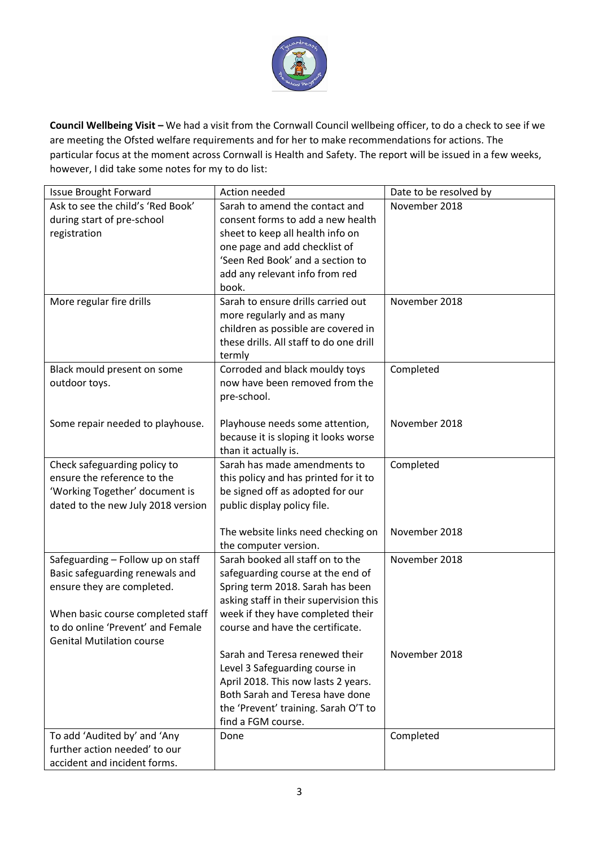

**Council Wellbeing Visit –** We had a visit from the Cornwall Council wellbeing officer, to do a check to see if we are meeting the Ofsted welfare requirements and for her to make recommendations for actions. The particular focus at the moment across Cornwall is Health and Safety. The report will be issued in a few weeks, however, I did take some notes for my to do list:

| <b>Issue Brought Forward</b>       | Action needed                           | Date to be resolved by |
|------------------------------------|-----------------------------------------|------------------------|
| Ask to see the child's 'Red Book'  | Sarah to amend the contact and          | November 2018          |
| during start of pre-school         | consent forms to add a new health       |                        |
| registration                       | sheet to keep all health info on        |                        |
|                                    | one page and add checklist of           |                        |
|                                    | 'Seen Red Book' and a section to        |                        |
|                                    | add any relevant info from red          |                        |
|                                    | book.                                   |                        |
| More regular fire drills           | Sarah to ensure drills carried out      | November 2018          |
|                                    | more regularly and as many              |                        |
|                                    | children as possible are covered in     |                        |
|                                    | these drills. All staff to do one drill |                        |
|                                    | termly                                  |                        |
| Black mould present on some        | Corroded and black mouldy toys          | Completed              |
| outdoor toys.                      | now have been removed from the          |                        |
|                                    | pre-school.                             |                        |
|                                    |                                         |                        |
| Some repair needed to playhouse.   | Playhouse needs some attention,         | November 2018          |
|                                    | because it is sloping it looks worse    |                        |
|                                    | than it actually is.                    |                        |
| Check safeguarding policy to       | Sarah has made amendments to            | Completed              |
| ensure the reference to the        | this policy and has printed for it to   |                        |
| 'Working Together' document is     | be signed off as adopted for our        |                        |
| dated to the new July 2018 version | public display policy file.             |                        |
|                                    | The website links need checking on      | November 2018          |
|                                    | the computer version.                   |                        |
| Safeguarding - Follow up on staff  | Sarah booked all staff on to the        | November 2018          |
| Basic safeguarding renewals and    | safeguarding course at the end of       |                        |
| ensure they are completed.         | Spring term 2018. Sarah has been        |                        |
|                                    | asking staff in their supervision this  |                        |
| When basic course completed staff  | week if they have completed their       |                        |
| to do online 'Prevent' and Female  | course and have the certificate.        |                        |
| <b>Genital Mutilation course</b>   |                                         |                        |
|                                    | Sarah and Teresa renewed their          | November 2018          |
|                                    | Level 3 Safeguarding course in          |                        |
|                                    | April 2018. This now lasts 2 years.     |                        |
|                                    | Both Sarah and Teresa have done         |                        |
|                                    | the 'Prevent' training. Sarah O'T to    |                        |
|                                    | find a FGM course.                      |                        |
| To add 'Audited by' and 'Any       | Done                                    | Completed              |
| further action needed' to our      |                                         |                        |
| accident and incident forms.       |                                         |                        |